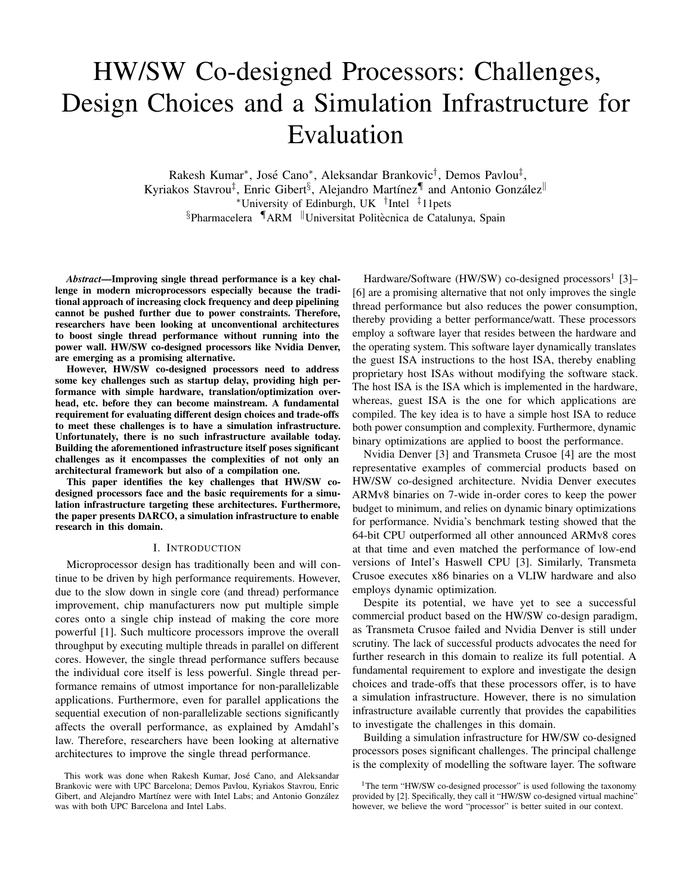# HW/SW Co-designed Processors: Challenges, Design Choices and a Simulation Infrastructure for Evaluation

Rakesh Kumar<sup>∗</sup>, José Cano<sup>∗</sup>, Aleksandar Brankovic<sup>†</sup>, Demos Pavlou<sup>‡</sup>, Kyriakos Stavrou<sup>‡</sup>, Enric Gibert<sup>§</sup>, Alejandro Martínez¶ and Antonio González<sup>||</sup> <sup>∗</sup>University of Edinburgh, UK † Intel ‡11pets  $§$ Pharmacelera  $\P$ ARM  $\parallel$ Universitat Politècnica de Catalunya, Spain

*Abstract*—Improving single thread performance is a key challenge in modern microprocessors especially because the traditional approach of increasing clock frequency and deep pipelining cannot be pushed further due to power constraints. Therefore, researchers have been looking at unconventional architectures to boost single thread performance without running into the power wall. HW/SW co-designed processors like Nvidia Denver, are emerging as a promising alternative.

However, HW/SW co-designed processors need to address some key challenges such as startup delay, providing high performance with simple hardware, translation/optimization overhead, etc. before they can become mainstream. A fundamental requirement for evaluating different design choices and trade-offs to meet these challenges is to have a simulation infrastructure. Unfortunately, there is no such infrastructure available today. Building the aforementioned infrastructure itself poses significant challenges as it encompasses the complexities of not only an architectural framework but also of a compilation one.

This paper identifies the key challenges that HW/SW codesigned processors face and the basic requirements for a simulation infrastructure targeting these architectures. Furthermore, the paper presents DARCO, a simulation infrastructure to enable research in this domain.

### I. INTRODUCTION

Microprocessor design has traditionally been and will continue to be driven by high performance requirements. However, due to the slow down in single core (and thread) performance improvement, chip manufacturers now put multiple simple cores onto a single chip instead of making the core more powerful [1]. Such multicore processors improve the overall throughput by executing multiple threads in parallel on different cores. However, the single thread performance suffers because the individual core itself is less powerful. Single thread performance remains of utmost importance for non-parallelizable applications. Furthermore, even for parallel applications the sequential execution of non-parallelizable sections significantly affects the overall performance, as explained by Amdahl's law. Therefore, researchers have been looking at alternative architectures to improve the single thread performance.

Hardware/Software (HW/SW) co-designed processors<sup>1</sup> [3]-[6] are a promising alternative that not only improves the single thread performance but also reduces the power consumption, thereby providing a better performance/watt. These processors employ a software layer that resides between the hardware and the operating system. This software layer dynamically translates the guest ISA instructions to the host ISA, thereby enabling proprietary host ISAs without modifying the software stack. The host ISA is the ISA which is implemented in the hardware, whereas, guest ISA is the one for which applications are compiled. The key idea is to have a simple host ISA to reduce both power consumption and complexity. Furthermore, dynamic binary optimizations are applied to boost the performance.

Nvidia Denver [3] and Transmeta Crusoe [4] are the most representative examples of commercial products based on HW/SW co-designed architecture. Nvidia Denver executes ARMv8 binaries on 7-wide in-order cores to keep the power budget to minimum, and relies on dynamic binary optimizations for performance. Nvidia's benchmark testing showed that the 64-bit CPU outperformed all other announced ARMv8 cores at that time and even matched the performance of low-end versions of Intel's Haswell CPU [3]. Similarly, Transmeta Crusoe executes x86 binaries on a VLIW hardware and also employs dynamic optimization.

Despite its potential, we have yet to see a successful commercial product based on the HW/SW co-design paradigm, as Transmeta Crusoe failed and Nvidia Denver is still under scrutiny. The lack of successful products advocates the need for further research in this domain to realize its full potential. A fundamental requirement to explore and investigate the design choices and trade-offs that these processors offer, is to have a simulation infrastructure. However, there is no simulation infrastructure available currently that provides the capabilities to investigate the challenges in this domain.

Building a simulation infrastructure for HW/SW co-designed processors poses significant challenges. The principal challenge is the complexity of modelling the software layer. The software

This work was done when Rakesh Kumar, Jose Cano, and Aleksandar ´ Brankovic were with UPC Barcelona; Demos Pavlou, Kyriakos Stavrou, Enric Gibert, and Alejandro Martínez were with Intel Labs; and Antonio González was with both UPC Barcelona and Intel Labs.

<sup>&</sup>lt;sup>1</sup>The term "HW/SW co-designed processor" is used following the taxonomy provided by [2]. Specifically, they call it "HW/SW co-designed virtual machine" however, we believe the word "processor" is better suited in our context.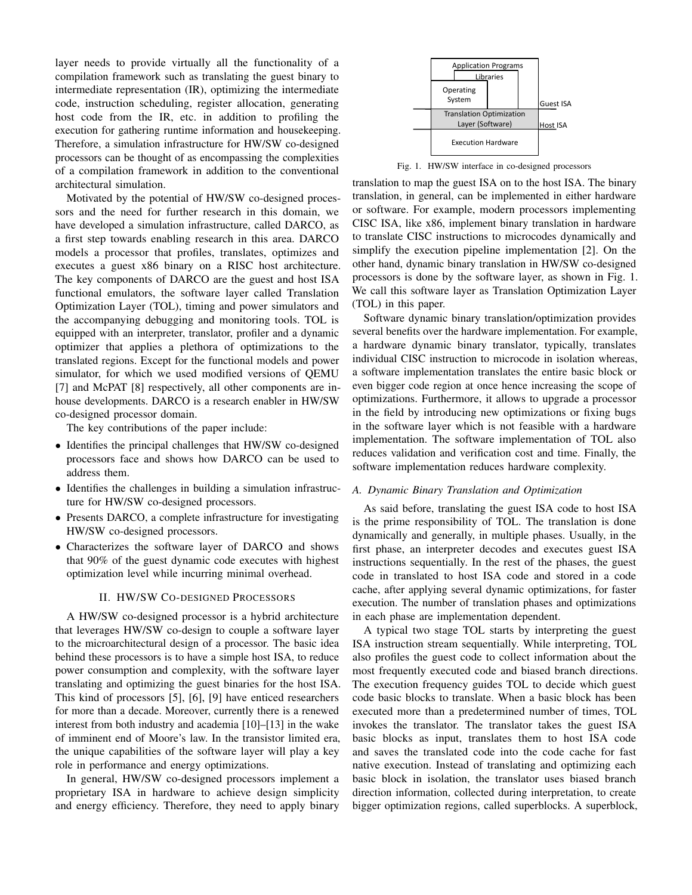layer needs to provide virtually all the functionality of a compilation framework such as translating the guest binary to intermediate representation (IR), optimizing the intermediate code, instruction scheduling, register allocation, generating host code from the IR, etc. in addition to profiling the execution for gathering runtime information and housekeeping. Therefore, a simulation infrastructure for HW/SW co-designed processors can be thought of as encompassing the complexities of a compilation framework in addition to the conventional architectural simulation.

Motivated by the potential of HW/SW co-designed processors and the need for further research in this domain, we have developed a simulation infrastructure, called DARCO, as a first step towards enabling research in this area. DARCO models a processor that profiles, translates, optimizes and executes a guest x86 binary on a RISC host architecture. The key components of DARCO are the guest and host ISA functional emulators, the software layer called Translation Optimization Layer (TOL), timing and power simulators and the accompanying debugging and monitoring tools. TOL is equipped with an interpreter, translator, profiler and a dynamic optimizer that applies a plethora of optimizations to the translated regions. Except for the functional models and power simulator, for which we used modified versions of QEMU [7] and McPAT [8] respectively, all other components are inhouse developments. DARCO is a research enabler in HW/SW co-designed processor domain.

The key contributions of the paper include:

- Identifies the principal challenges that HW/SW co-designed processors face and shows how DARCO can be used to address them.
- Identifies the challenges in building a simulation infrastructure for HW/SW co-designed processors.
- Presents DARCO, a complete infrastructure for investigating HW/SW co-designed processors.
- Characterizes the software layer of DARCO and shows that 90% of the guest dynamic code executes with highest optimization level while incurring minimal overhead.

# II. HW/SW CO-DESIGNED PROCESSORS

A HW/SW co-designed processor is a hybrid architecture that leverages HW/SW co-design to couple a software layer to the microarchitectural design of a processor. The basic idea behind these processors is to have a simple host ISA, to reduce power consumption and complexity, with the software layer translating and optimizing the guest binaries for the host ISA. This kind of processors [5], [6], [9] have enticed researchers for more than a decade. Moreover, currently there is a renewed interest from both industry and academia [10]–[13] in the wake of imminent end of Moore's law. In the transistor limited era, the unique capabilities of the software layer will play a key role in performance and energy optimizations.

In general, HW/SW co-designed processors implement a proprietary ISA in hardware to achieve design simplicity and energy efficiency. Therefore, they need to apply binary



Fig. 1. HW/SW interface in co-designed processors

translation to map the guest ISA on to the host ISA. The binary translation, in general, can be implemented in either hardware or software. For example, modern processors implementing CISC ISA, like x86, implement binary translation in hardware to translate CISC instructions to microcodes dynamically and simplify the execution pipeline implementation [2]. On the other hand, dynamic binary translation in HW/SW co-designed processors is done by the software layer, as shown in Fig. 1. We call this software layer as Translation Optimization Layer (TOL) in this paper.

Software dynamic binary translation/optimization provides several benefits over the hardware implementation. For example, a hardware dynamic binary translator, typically, translates individual CISC instruction to microcode in isolation whereas, a software implementation translates the entire basic block or even bigger code region at once hence increasing the scope of optimizations. Furthermore, it allows to upgrade a processor in the field by introducing new optimizations or fixing bugs in the software layer which is not feasible with a hardware implementation. The software implementation of TOL also reduces validation and verification cost and time. Finally, the software implementation reduces hardware complexity.

# *A. Dynamic Binary Translation and Optimization*

As said before, translating the guest ISA code to host ISA is the prime responsibility of TOL. The translation is done dynamically and generally, in multiple phases. Usually, in the first phase, an interpreter decodes and executes guest ISA instructions sequentially. In the rest of the phases, the guest code in translated to host ISA code and stored in a code cache, after applying several dynamic optimizations, for faster execution. The number of translation phases and optimizations in each phase are implementation dependent.

A typical two stage TOL starts by interpreting the guest ISA instruction stream sequentially. While interpreting, TOL also profiles the guest code to collect information about the most frequently executed code and biased branch directions. The execution frequency guides TOL to decide which guest code basic blocks to translate. When a basic block has been executed more than a predetermined number of times, TOL invokes the translator. The translator takes the guest ISA basic blocks as input, translates them to host ISA code and saves the translated code into the code cache for fast native execution. Instead of translating and optimizing each basic block in isolation, the translator uses biased branch direction information, collected during interpretation, to create bigger optimization regions, called superblocks. A superblock,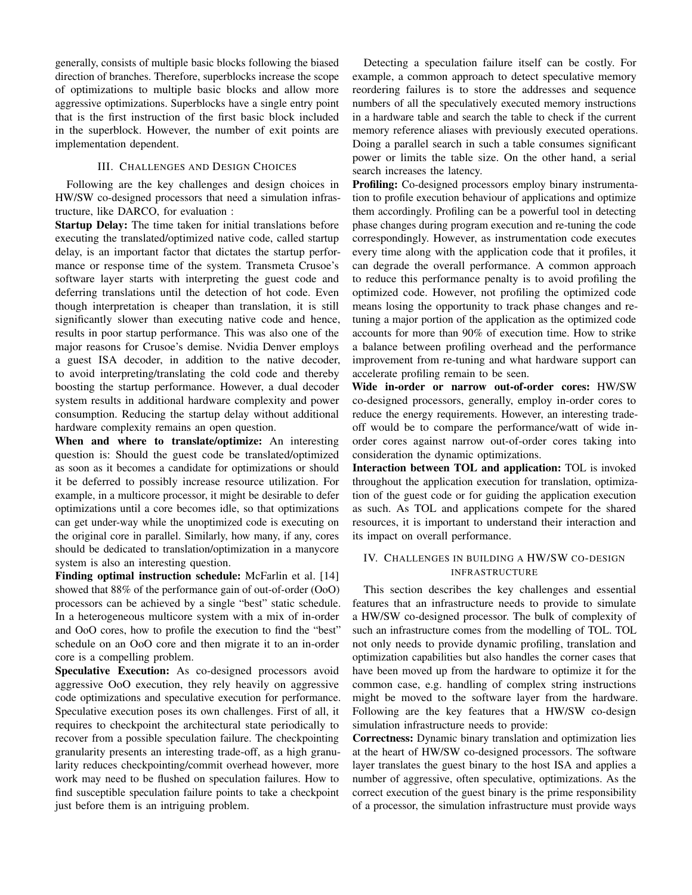generally, consists of multiple basic blocks following the biased direction of branches. Therefore, superblocks increase the scope of optimizations to multiple basic blocks and allow more aggressive optimizations. Superblocks have a single entry point that is the first instruction of the first basic block included in the superblock. However, the number of exit points are implementation dependent.

## III. CHALLENGES AND DESIGN CHOICES

Following are the key challenges and design choices in HW/SW co-designed processors that need a simulation infrastructure, like DARCO, for evaluation :

Startup Delay: The time taken for initial translations before executing the translated/optimized native code, called startup delay, is an important factor that dictates the startup performance or response time of the system. Transmeta Crusoe's software layer starts with interpreting the guest code and deferring translations until the detection of hot code. Even though interpretation is cheaper than translation, it is still significantly slower than executing native code and hence, results in poor startup performance. This was also one of the major reasons for Crusoe's demise. Nvidia Denver employs a guest ISA decoder, in addition to the native decoder, to avoid interpreting/translating the cold code and thereby boosting the startup performance. However, a dual decoder system results in additional hardware complexity and power consumption. Reducing the startup delay without additional hardware complexity remains an open question.

When and where to translate/optimize: An interesting question is: Should the guest code be translated/optimized as soon as it becomes a candidate for optimizations or should it be deferred to possibly increase resource utilization. For example, in a multicore processor, it might be desirable to defer optimizations until a core becomes idle, so that optimizations can get under-way while the unoptimized code is executing on the original core in parallel. Similarly, how many, if any, cores should be dedicated to translation/optimization in a manycore system is also an interesting question.

Finding optimal instruction schedule: McFarlin et al. [14] showed that 88% of the performance gain of out-of-order (OoO) processors can be achieved by a single "best" static schedule. In a heterogeneous multicore system with a mix of in-order and OoO cores, how to profile the execution to find the "best" schedule on an OoO core and then migrate it to an in-order core is a compelling problem.

Speculative Execution: As co-designed processors avoid aggressive OoO execution, they rely heavily on aggressive code optimizations and speculative execution for performance. Speculative execution poses its own challenges. First of all, it requires to checkpoint the architectural state periodically to recover from a possible speculation failure. The checkpointing granularity presents an interesting trade-off, as a high granularity reduces checkpointing/commit overhead however, more work may need to be flushed on speculation failures. How to find susceptible speculation failure points to take a checkpoint just before them is an intriguing problem.

Detecting a speculation failure itself can be costly. For example, a common approach to detect speculative memory reordering failures is to store the addresses and sequence numbers of all the speculatively executed memory instructions in a hardware table and search the table to check if the current memory reference aliases with previously executed operations. Doing a parallel search in such a table consumes significant power or limits the table size. On the other hand, a serial search increases the latency.

Profiling: Co-designed processors employ binary instrumentation to profile execution behaviour of applications and optimize them accordingly. Profiling can be a powerful tool in detecting phase changes during program execution and re-tuning the code correspondingly. However, as instrumentation code executes every time along with the application code that it profiles, it can degrade the overall performance. A common approach to reduce this performance penalty is to avoid profiling the optimized code. However, not profiling the optimized code means losing the opportunity to track phase changes and retuning a major portion of the application as the optimized code accounts for more than 90% of execution time. How to strike a balance between profiling overhead and the performance improvement from re-tuning and what hardware support can accelerate profiling remain to be seen.

Wide in-order or narrow out-of-order cores: HW/SW co-designed processors, generally, employ in-order cores to reduce the energy requirements. However, an interesting tradeoff would be to compare the performance/watt of wide inorder cores against narrow out-of-order cores taking into consideration the dynamic optimizations.

Interaction between TOL and application: TOL is invoked throughout the application execution for translation, optimization of the guest code or for guiding the application execution as such. As TOL and applications compete for the shared resources, it is important to understand their interaction and its impact on overall performance.

# IV. CHALLENGES IN BUILDING A HW/SW CO-DESIGN INFRASTRUCTURE

This section describes the key challenges and essential features that an infrastructure needs to provide to simulate a HW/SW co-designed processor. The bulk of complexity of such an infrastructure comes from the modelling of TOL. TOL not only needs to provide dynamic profiling, translation and optimization capabilities but also handles the corner cases that have been moved up from the hardware to optimize it for the common case, e.g. handling of complex string instructions might be moved to the software layer from the hardware. Following are the key features that a HW/SW co-design simulation infrastructure needs to provide:

Correctness: Dynamic binary translation and optimization lies at the heart of HW/SW co-designed processors. The software layer translates the guest binary to the host ISA and applies a number of aggressive, often speculative, optimizations. As the correct execution of the guest binary is the prime responsibility of a processor, the simulation infrastructure must provide ways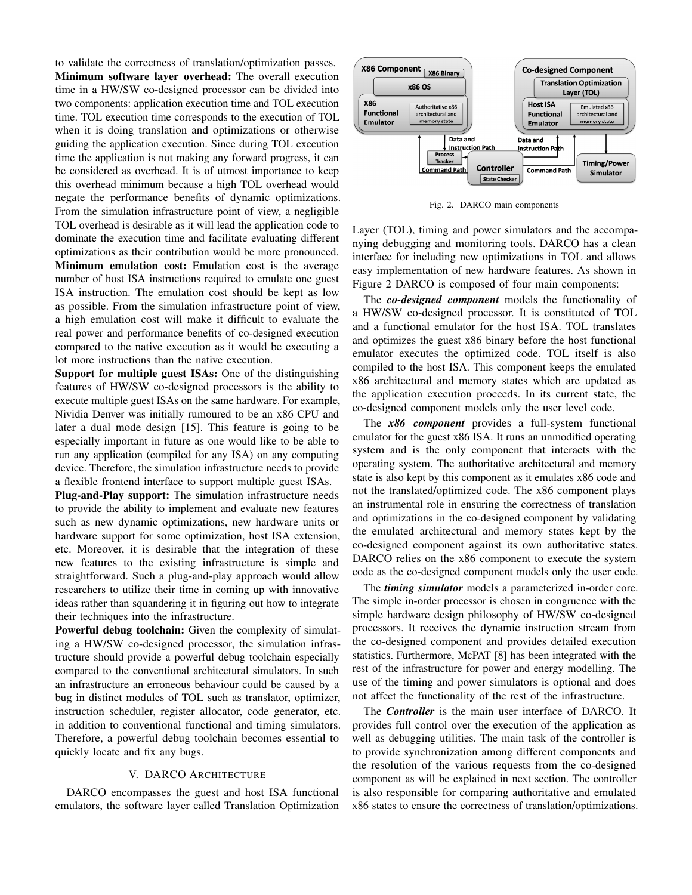to validate the correctness of translation/optimization passes. Minimum software layer overhead: The overall execution time in a HW/SW co-designed processor can be divided into two components: application execution time and TOL execution time. TOL execution time corresponds to the execution of TOL when it is doing translation and optimizations or otherwise guiding the application execution. Since during TOL execution time the application is not making any forward progress, it can be considered as overhead. It is of utmost importance to keep this overhead minimum because a high TOL overhead would negate the performance benefits of dynamic optimizations. From the simulation infrastructure point of view, a negligible TOL overhead is desirable as it will lead the application code to dominate the execution time and facilitate evaluating different optimizations as their contribution would be more pronounced. Minimum emulation cost: Emulation cost is the average number of host ISA instructions required to emulate one guest ISA instruction. The emulation cost should be kept as low as possible. From the simulation infrastructure point of view, a high emulation cost will make it difficult to evaluate the real power and performance benefits of co-designed execution compared to the native execution as it would be executing a lot more instructions than the native execution.

Support for multiple guest ISAs: One of the distinguishing features of HW/SW co-designed processors is the ability to execute multiple guest ISAs on the same hardware. For example, Nividia Denver was initially rumoured to be an x86 CPU and later a dual mode design [15]. This feature is going to be especially important in future as one would like to be able to run any application (compiled for any ISA) on any computing device. Therefore, the simulation infrastructure needs to provide a flexible frontend interface to support multiple guest ISAs.

Plug-and-Play support: The simulation infrastructure needs to provide the ability to implement and evaluate new features such as new dynamic optimizations, new hardware units or hardware support for some optimization, host ISA extension, etc. Moreover, it is desirable that the integration of these new features to the existing infrastructure is simple and straightforward. Such a plug-and-play approach would allow researchers to utilize their time in coming up with innovative ideas rather than squandering it in figuring out how to integrate their techniques into the infrastructure.

Powerful debug toolchain: Given the complexity of simulating a HW/SW co-designed processor, the simulation infrastructure should provide a powerful debug toolchain especially compared to the conventional architectural simulators. In such an infrastructure an erroneous behaviour could be caused by a bug in distinct modules of TOL such as translator, optimizer, instruction scheduler, register allocator, code generator, etc. in addition to conventional functional and timing simulators. Therefore, a powerful debug toolchain becomes essential to quickly locate and fix any bugs.

#### V. DARCO ARCHITECTURE

DARCO encompasses the guest and host ISA functional emulators, the software layer called Translation Optimization



Fig. 2. DARCO main components

Layer (TOL), timing and power simulators and the accompanying debugging and monitoring tools. DARCO has a clean interface for including new optimizations in TOL and allows easy implementation of new hardware features. As shown in Figure 2 DARCO is composed of four main components:

The *co-designed component* models the functionality of a HW/SW co-designed processor. It is constituted of TOL and a functional emulator for the host ISA. TOL translates and optimizes the guest x86 binary before the host functional emulator executes the optimized code. TOL itself is also compiled to the host ISA. This component keeps the emulated x86 architectural and memory states which are updated as the application execution proceeds. In its current state, the co-designed component models only the user level code.

The *x86 component* provides a full-system functional emulator for the guest x86 ISA. It runs an unmodified operating system and is the only component that interacts with the operating system. The authoritative architectural and memory state is also kept by this component as it emulates x86 code and not the translated/optimized code. The x86 component plays an instrumental role in ensuring the correctness of translation and optimizations in the co-designed component by validating the emulated architectural and memory states kept by the co-designed component against its own authoritative states. DARCO relies on the x86 component to execute the system code as the co-designed component models only the user code.

The *timing simulator* models a parameterized in-order core. The simple in-order processor is chosen in congruence with the simple hardware design philosophy of HW/SW co-designed processors. It receives the dynamic instruction stream from the co-designed component and provides detailed execution statistics. Furthermore, McPAT [8] has been integrated with the rest of the infrastructure for power and energy modelling. The use of the timing and power simulators is optional and does not affect the functionality of the rest of the infrastructure.

The *Controller* is the main user interface of DARCO. It provides full control over the execution of the application as well as debugging utilities. The main task of the controller is to provide synchronization among different components and the resolution of the various requests from the co-designed component as will be explained in next section. The controller is also responsible for comparing authoritative and emulated x86 states to ensure the correctness of translation/optimizations.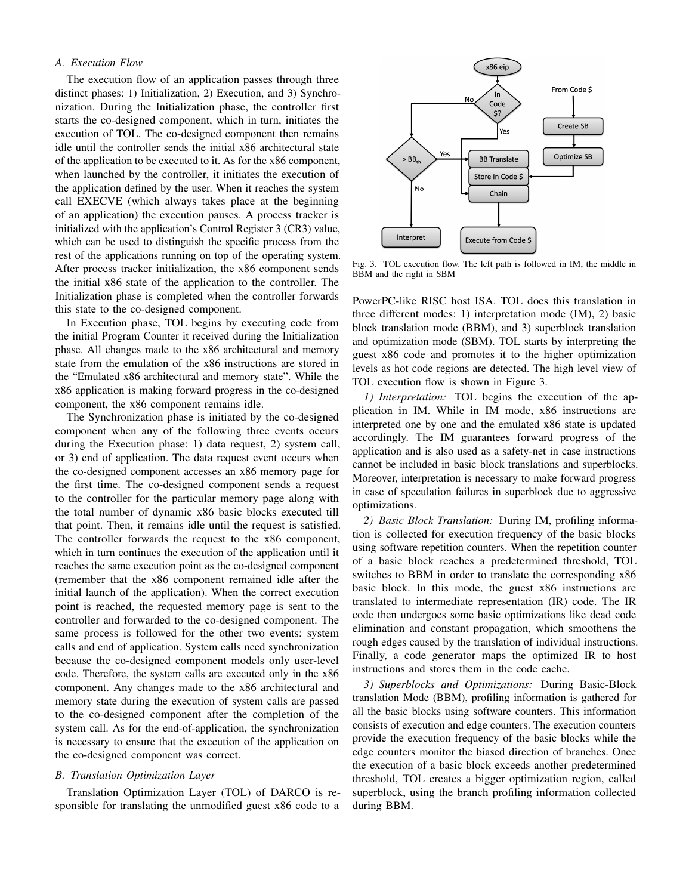# *A. Execution Flow*

The execution flow of an application passes through three distinct phases: 1) Initialization, 2) Execution, and 3) Synchronization. During the Initialization phase, the controller first starts the co-designed component, which in turn, initiates the execution of TOL. The co-designed component then remains idle until the controller sends the initial x86 architectural state of the application to be executed to it. As for the x86 component, when launched by the controller, it initiates the execution of the application defined by the user. When it reaches the system call EXECVE (which always takes place at the beginning of an application) the execution pauses. A process tracker is initialized with the application's Control Register 3 (CR3) value, which can be used to distinguish the specific process from the rest of the applications running on top of the operating system. After process tracker initialization, the x86 component sends the initial x86 state of the application to the controller. The Initialization phase is completed when the controller forwards this state to the co-designed component.

In Execution phase, TOL begins by executing code from the initial Program Counter it received during the Initialization phase. All changes made to the x86 architectural and memory state from the emulation of the x86 instructions are stored in the "Emulated x86 architectural and memory state". While the x86 application is making forward progress in the co-designed component, the x86 component remains idle.

The Synchronization phase is initiated by the co-designed component when any of the following three events occurs during the Execution phase: 1) data request, 2) system call, or 3) end of application. The data request event occurs when the co-designed component accesses an x86 memory page for the first time. The co-designed component sends a request to the controller for the particular memory page along with the total number of dynamic x86 basic blocks executed till that point. Then, it remains idle until the request is satisfied. The controller forwards the request to the x86 component, which in turn continues the execution of the application until it reaches the same execution point as the co-designed component (remember that the x86 component remained idle after the initial launch of the application). When the correct execution point is reached, the requested memory page is sent to the controller and forwarded to the co-designed component. The same process is followed for the other two events: system calls and end of application. System calls need synchronization because the co-designed component models only user-level code. Therefore, the system calls are executed only in the x86 component. Any changes made to the x86 architectural and memory state during the execution of system calls are passed to the co-designed component after the completion of the system call. As for the end-of-application, the synchronization is necessary to ensure that the execution of the application on the co-designed component was correct.

# *B. Translation Optimization Layer*

Translation Optimization Layer (TOL) of DARCO is responsible for translating the unmodified guest x86 code to a



Fig. 3. TOL execution flow. The left path is followed in IM, the middle in BBM and the right in SBM

PowerPC-like RISC host ISA. TOL does this translation in three different modes: 1) interpretation mode (IM), 2) basic block translation mode (BBM), and 3) superblock translation and optimization mode (SBM). TOL starts by interpreting the guest x86 code and promotes it to the higher optimization levels as hot code regions are detected. The high level view of TOL execution flow is shown in Figure 3.

*1) Interpretation:* TOL begins the execution of the application in IM. While in IM mode, x86 instructions are interpreted one by one and the emulated x86 state is updated accordingly. The IM guarantees forward progress of the application and is also used as a safety-net in case instructions cannot be included in basic block translations and superblocks. Moreover, interpretation is necessary to make forward progress in case of speculation failures in superblock due to aggressive optimizations.

*2) Basic Block Translation:* During IM, profiling information is collected for execution frequency of the basic blocks using software repetition counters. When the repetition counter of a basic block reaches a predetermined threshold, TOL switches to BBM in order to translate the corresponding x86 basic block. In this mode, the guest x86 instructions are translated to intermediate representation (IR) code. The IR code then undergoes some basic optimizations like dead code elimination and constant propagation, which smoothens the rough edges caused by the translation of individual instructions. Finally, a code generator maps the optimized IR to host instructions and stores them in the code cache.

*3) Superblocks and Optimizations:* During Basic-Block translation Mode (BBM), profiling information is gathered for all the basic blocks using software counters. This information consists of execution and edge counters. The execution counters provide the execution frequency of the basic blocks while the edge counters monitor the biased direction of branches. Once the execution of a basic block exceeds another predetermined threshold, TOL creates a bigger optimization region, called superblock, using the branch profiling information collected during BBM.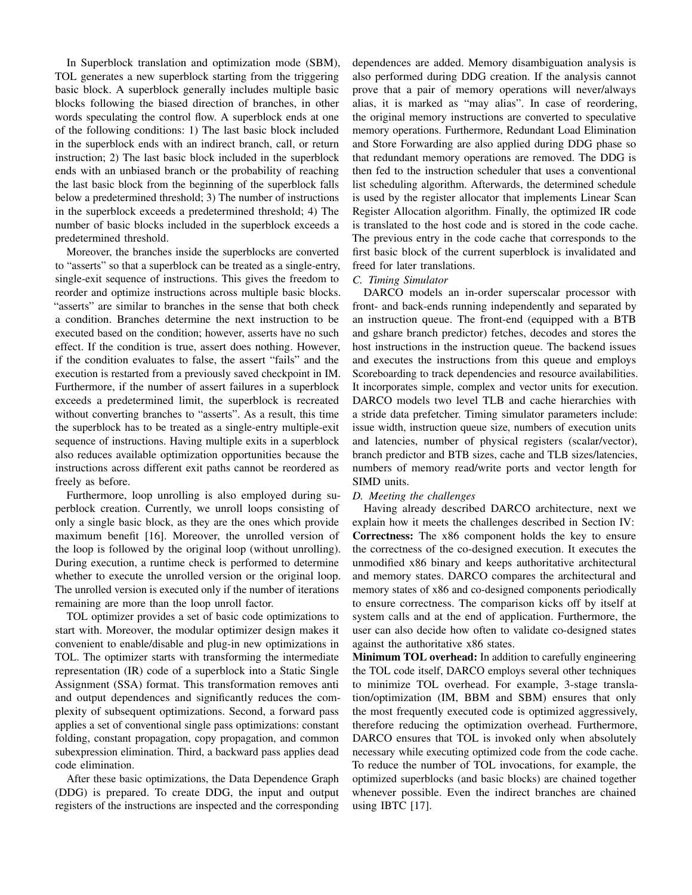In Superblock translation and optimization mode (SBM), TOL generates a new superblock starting from the triggering basic block. A superblock generally includes multiple basic blocks following the biased direction of branches, in other words speculating the control flow. A superblock ends at one of the following conditions: 1) The last basic block included in the superblock ends with an indirect branch, call, or return instruction; 2) The last basic block included in the superblock ends with an unbiased branch or the probability of reaching the last basic block from the beginning of the superblock falls below a predetermined threshold; 3) The number of instructions in the superblock exceeds a predetermined threshold; 4) The number of basic blocks included in the superblock exceeds a predetermined threshold.

Moreover, the branches inside the superblocks are converted to "asserts" so that a superblock can be treated as a single-entry, single-exit sequence of instructions. This gives the freedom to reorder and optimize instructions across multiple basic blocks. "asserts" are similar to branches in the sense that both check a condition. Branches determine the next instruction to be executed based on the condition; however, asserts have no such effect. If the condition is true, assert does nothing. However, if the condition evaluates to false, the assert "fails" and the execution is restarted from a previously saved checkpoint in IM. Furthermore, if the number of assert failures in a superblock exceeds a predetermined limit, the superblock is recreated without converting branches to "asserts". As a result, this time the superblock has to be treated as a single-entry multiple-exit sequence of instructions. Having multiple exits in a superblock also reduces available optimization opportunities because the instructions across different exit paths cannot be reordered as freely as before.

Furthermore, loop unrolling is also employed during superblock creation. Currently, we unroll loops consisting of only a single basic block, as they are the ones which provide maximum benefit [16]. Moreover, the unrolled version of the loop is followed by the original loop (without unrolling). During execution, a runtime check is performed to determine whether to execute the unrolled version or the original loop. The unrolled version is executed only if the number of iterations remaining are more than the loop unroll factor.

TOL optimizer provides a set of basic code optimizations to start with. Moreover, the modular optimizer design makes it convenient to enable/disable and plug-in new optimizations in TOL. The optimizer starts with transforming the intermediate representation (IR) code of a superblock into a Static Single Assignment (SSA) format. This transformation removes anti and output dependences and significantly reduces the complexity of subsequent optimizations. Second, a forward pass applies a set of conventional single pass optimizations: constant folding, constant propagation, copy propagation, and common subexpression elimination. Third, a backward pass applies dead code elimination.

After these basic optimizations, the Data Dependence Graph (DDG) is prepared. To create DDG, the input and output registers of the instructions are inspected and the corresponding dependences are added. Memory disambiguation analysis is also performed during DDG creation. If the analysis cannot prove that a pair of memory operations will never/always alias, it is marked as "may alias". In case of reordering, the original memory instructions are converted to speculative memory operations. Furthermore, Redundant Load Elimination and Store Forwarding are also applied during DDG phase so that redundant memory operations are removed. The DDG is then fed to the instruction scheduler that uses a conventional list scheduling algorithm. Afterwards, the determined schedule is used by the register allocator that implements Linear Scan Register Allocation algorithm. Finally, the optimized IR code is translated to the host code and is stored in the code cache. The previous entry in the code cache that corresponds to the first basic block of the current superblock is invalidated and freed for later translations.

## *C. Timing Simulator*

DARCO models an in-order superscalar processor with front- and back-ends running independently and separated by an instruction queue. The front-end (equipped with a BTB and gshare branch predictor) fetches, decodes and stores the host instructions in the instruction queue. The backend issues and executes the instructions from this queue and employs Scoreboarding to track dependencies and resource availabilities. It incorporates simple, complex and vector units for execution. DARCO models two level TLB and cache hierarchies with a stride data prefetcher. Timing simulator parameters include: issue width, instruction queue size, numbers of execution units and latencies, number of physical registers (scalar/vector), branch predictor and BTB sizes, cache and TLB sizes/latencies, numbers of memory read/write ports and vector length for SIMD units.

# *D. Meeting the challenges*

Having already described DARCO architecture, next we explain how it meets the challenges described in Section IV: Correctness: The x86 component holds the key to ensure the correctness of the co-designed execution. It executes the unmodified x86 binary and keeps authoritative architectural and memory states. DARCO compares the architectural and memory states of x86 and co-designed components periodically to ensure correctness. The comparison kicks off by itself at system calls and at the end of application. Furthermore, the user can also decide how often to validate co-designed states against the authoritative x86 states.

Minimum TOL overhead: In addition to carefully engineering the TOL code itself, DARCO employs several other techniques to minimize TOL overhead. For example, 3-stage translation/optimization (IM, BBM and SBM) ensures that only the most frequently executed code is optimized aggressively, therefore reducing the optimization overhead. Furthermore, DARCO ensures that TOL is invoked only when absolutely necessary while executing optimized code from the code cache. To reduce the number of TOL invocations, for example, the optimized superblocks (and basic blocks) are chained together whenever possible. Even the indirect branches are chained using IBTC [17].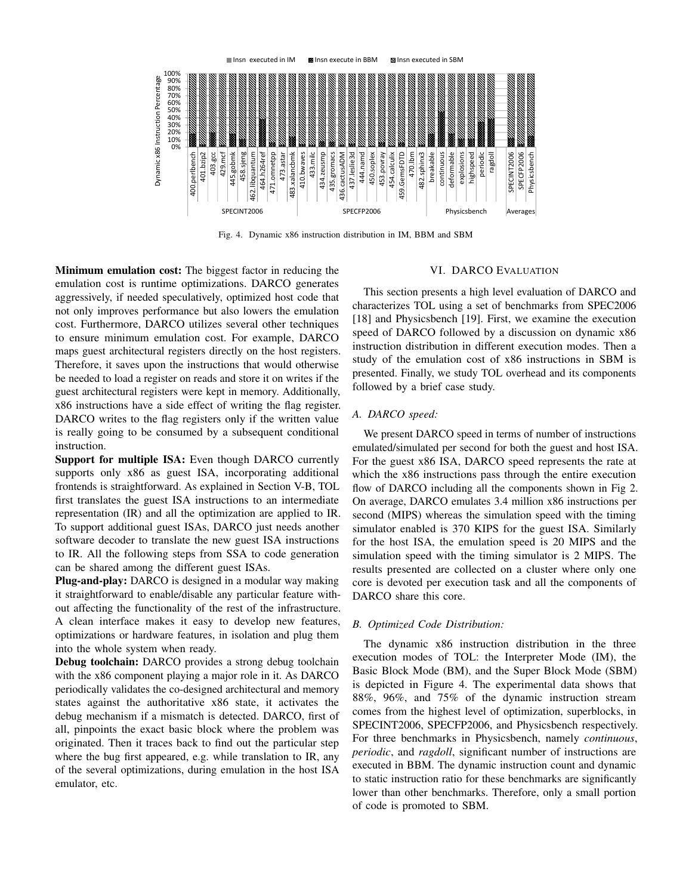

Fig. 4. Dynamic x86 instruction distribution in IM, BBM and SBM

Minimum emulation cost: The biggest factor in reducing the emulation cost is runtime optimizations. DARCO generates aggressively, if needed speculatively, optimized host code that not only improves performance but also lowers the emulation cost. Furthermore, DARCO utilizes several other techniques to ensure minimum emulation cost. For example, DARCO maps guest architectural registers directly on the host registers. Therefore, it saves upon the instructions that would otherwise be needed to load a register on reads and store it on writes if the guest architectural registers were kept in memory. Additionally, x86 instructions have a side effect of writing the flag register. DARCO writes to the flag registers only if the written value is really going to be consumed by a subsequent conditional instruction.

Support for multiple ISA: Even though DARCO currently supports only x86 as guest ISA, incorporating additional frontends is straightforward. As explained in Section V-B, TOL first translates the guest ISA instructions to an intermediate representation (IR) and all the optimization are applied to IR. To support additional guest ISAs, DARCO just needs another software decoder to translate the new guest ISA instructions to IR. All the following steps from SSA to code generation can be shared among the different guest ISAs.

Plug-and-play: DARCO is designed in a modular way making it straightforward to enable/disable any particular feature without affecting the functionality of the rest of the infrastructure. A clean interface makes it easy to develop new features, optimizations or hardware features, in isolation and plug them into the whole system when ready.

Debug toolchain: DARCO provides a strong debug toolchain with the x86 component playing a major role in it. As DARCO periodically validates the co-designed architectural and memory states against the authoritative x86 state, it activates the debug mechanism if a mismatch is detected. DARCO, first of all, pinpoints the exact basic block where the problem was originated. Then it traces back to find out the particular step where the bug first appeared, e.g. while translation to IR, any of the several optimizations, during emulation in the host ISA emulator, etc.

#### VI. DARCO EVALUATION

This section presents a high level evaluation of DARCO and characterizes TOL using a set of benchmarks from SPEC2006 [18] and Physicsbench [19]. First, we examine the execution speed of DARCO followed by a discussion on dynamic x86 instruction distribution in different execution modes. Then a study of the emulation cost of x86 instructions in SBM is presented. Finally, we study TOL overhead and its components followed by a brief case study.

### *A. DARCO speed:*

We present DARCO speed in terms of number of instructions emulated/simulated per second for both the guest and host ISA. For the guest x86 ISA, DARCO speed represents the rate at which the x86 instructions pass through the entire execution flow of DARCO including all the components shown in Fig 2. On average, DARCO emulates 3.4 million x86 instructions per second (MIPS) whereas the simulation speed with the timing simulator enabled is 370 KIPS for the guest ISA. Similarly for the host ISA, the emulation speed is 20 MIPS and the simulation speed with the timing simulator is 2 MIPS. The results presented are collected on a cluster where only one core is devoted per execution task and all the components of DARCO share this core.

#### *B. Optimized Code Distribution:*

The dynamic x86 instruction distribution in the three execution modes of TOL: the Interpreter Mode (IM), the Basic Block Mode (BM), and the Super Block Mode (SBM) is depicted in Figure 4. The experimental data shows that 88%, 96%, and 75% of the dynamic instruction stream comes from the highest level of optimization, superblocks, in SPECINT2006, SPECFP2006, and Physicsbench respectively. For three benchmarks in Physicsbench, namely *continuous*, *periodic*, and *ragdoll*, significant number of instructions are executed in BBM. The dynamic instruction count and dynamic to static instruction ratio for these benchmarks are significantly lower than other benchmarks. Therefore, only a small portion of code is promoted to SBM.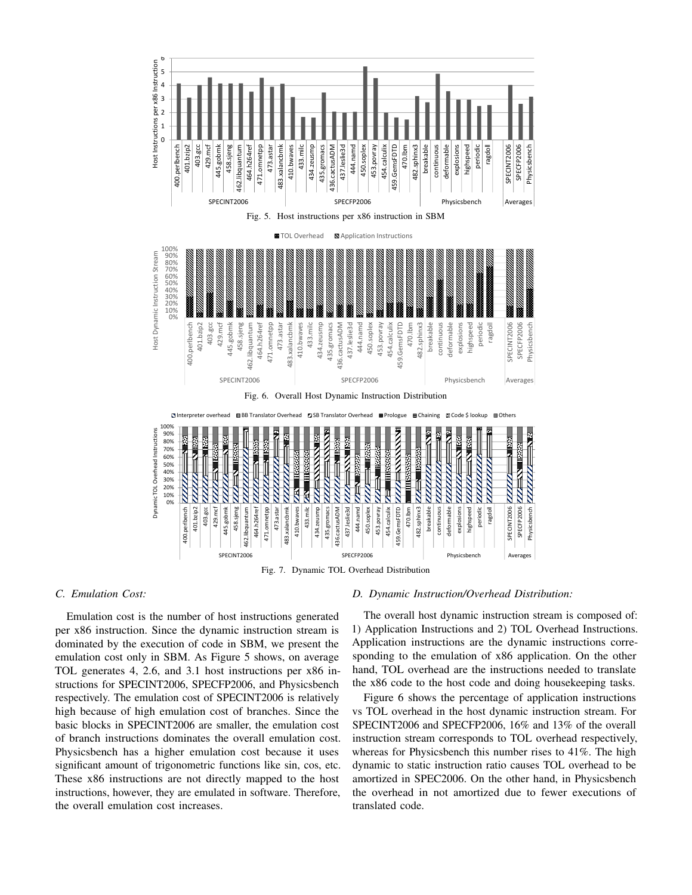

Fig. 7. Dynamic TOL Overhead Distribution

# *C. Emulation Cost:*

Emulation cost is the number of host instructions generated per x86 instruction. Since the dynamic instruction stream is dominated by the execution of code in SBM, we present the emulation cost only in SBM. As Figure 5 shows, on average TOL generates 4, 2.6, and 3.1 host instructions per x86 instructions for SPECINT2006, SPECFP2006, and Physicsbench respectively. The emulation cost of SPECINT2006 is relatively high because of high emulation cost of branches. Since the basic blocks in SPECINT2006 are smaller, the emulation cost of branch instructions dominates the overall emulation cost. Physicsbench has a higher emulation cost because it uses significant amount of trigonometric functions like sin, cos, etc. These x86 instructions are not directly mapped to the host instructions, however, they are emulated in software. Therefore, the overall emulation cost increases.

# *D. Dynamic Instruction/Overhead Distribution:*

The overall host dynamic instruction stream is composed of: 1) Application Instructions and 2) TOL Overhead Instructions. Application instructions are the dynamic instructions corresponding to the emulation of x86 application. On the other hand, TOL overhead are the instructions needed to translate the x86 code to the host code and doing housekeeping tasks.

Figure 6 shows the percentage of application instructions vs TOL overhead in the host dynamic instruction stream. For SPECINT2006 and SPECFP2006, 16% and 13% of the overall instruction stream corresponds to TOL overhead respectively, whereas for Physicsbench this number rises to 41%. The high dynamic to static instruction ratio causes TOL overhead to be amortized in SPEC2006. On the other hand, in Physicsbench the overhead in not amortized due to fewer executions of translated code.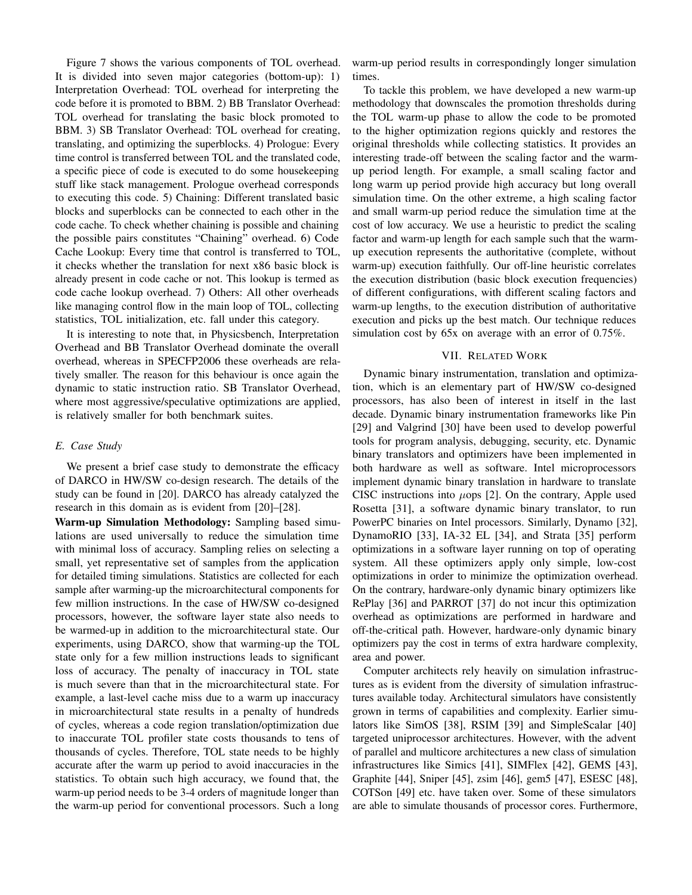Figure 7 shows the various components of TOL overhead. It is divided into seven major categories (bottom-up): 1) Interpretation Overhead: TOL overhead for interpreting the code before it is promoted to BBM. 2) BB Translator Overhead: TOL overhead for translating the basic block promoted to BBM. 3) SB Translator Overhead: TOL overhead for creating, translating, and optimizing the superblocks. 4) Prologue: Every time control is transferred between TOL and the translated code, a specific piece of code is executed to do some housekeeping stuff like stack management. Prologue overhead corresponds to executing this code. 5) Chaining: Different translated basic blocks and superblocks can be connected to each other in the code cache. To check whether chaining is possible and chaining the possible pairs constitutes "Chaining" overhead. 6) Code Cache Lookup: Every time that control is transferred to TOL, it checks whether the translation for next x86 basic block is already present in code cache or not. This lookup is termed as code cache lookup overhead. 7) Others: All other overheads like managing control flow in the main loop of TOL, collecting statistics, TOL initialization, etc. fall under this category.

It is interesting to note that, in Physicsbench, Interpretation Overhead and BB Translator Overhead dominate the overall overhead, whereas in SPECFP2006 these overheads are relatively smaller. The reason for this behaviour is once again the dynamic to static instruction ratio. SB Translator Overhead, where most aggressive/speculative optimizations are applied, is relatively smaller for both benchmark suites.

## *E. Case Study*

We present a brief case study to demonstrate the efficacy of DARCO in HW/SW co-design research. The details of the study can be found in [20]. DARCO has already catalyzed the research in this domain as is evident from [20]–[28].

Warm-up Simulation Methodology: Sampling based simulations are used universally to reduce the simulation time with minimal loss of accuracy. Sampling relies on selecting a small, yet representative set of samples from the application for detailed timing simulations. Statistics are collected for each sample after warming-up the microarchitectural components for few million instructions. In the case of HW/SW co-designed processors, however, the software layer state also needs to be warmed-up in addition to the microarchitectural state. Our experiments, using DARCO, show that warming-up the TOL state only for a few million instructions leads to significant loss of accuracy. The penalty of inaccuracy in TOL state is much severe than that in the microarchitectural state. For example, a last-level cache miss due to a warm up inaccuracy in microarchitectural state results in a penalty of hundreds of cycles, whereas a code region translation/optimization due to inaccurate TOL profiler state costs thousands to tens of thousands of cycles. Therefore, TOL state needs to be highly accurate after the warm up period to avoid inaccuracies in the statistics. To obtain such high accuracy, we found that, the warm-up period needs to be 3-4 orders of magnitude longer than the warm-up period for conventional processors. Such a long

warm-up period results in correspondingly longer simulation times.

To tackle this problem, we have developed a new warm-up methodology that downscales the promotion thresholds during the TOL warm-up phase to allow the code to be promoted to the higher optimization regions quickly and restores the original thresholds while collecting statistics. It provides an interesting trade-off between the scaling factor and the warmup period length. For example, a small scaling factor and long warm up period provide high accuracy but long overall simulation time. On the other extreme, a high scaling factor and small warm-up period reduce the simulation time at the cost of low accuracy. We use a heuristic to predict the scaling factor and warm-up length for each sample such that the warmup execution represents the authoritative (complete, without warm-up) execution faithfully. Our off-line heuristic correlates the execution distribution (basic block execution frequencies) of different configurations, with different scaling factors and warm-up lengths, to the execution distribution of authoritative execution and picks up the best match. Our technique reduces simulation cost by 65x on average with an error of 0.75%.

# VII. RELATED WORK

Dynamic binary instrumentation, translation and optimization, which is an elementary part of HW/SW co-designed processors, has also been of interest in itself in the last decade. Dynamic binary instrumentation frameworks like Pin [29] and Valgrind [30] have been used to develop powerful tools for program analysis, debugging, security, etc. Dynamic binary translators and optimizers have been implemented in both hardware as well as software. Intel microprocessors implement dynamic binary translation in hardware to translate CISC instructions into  $\mu$ ops [2]. On the contrary, Apple used Rosetta [31], a software dynamic binary translator, to run PowerPC binaries on Intel processors. Similarly, Dynamo [32], DynamoRIO [33], IA-32 EL [34], and Strata [35] perform optimizations in a software layer running on top of operating system. All these optimizers apply only simple, low-cost optimizations in order to minimize the optimization overhead. On the contrary, hardware-only dynamic binary optimizers like RePlay [36] and PARROT [37] do not incur this optimization overhead as optimizations are performed in hardware and off-the-critical path. However, hardware-only dynamic binary optimizers pay the cost in terms of extra hardware complexity, area and power.

Computer architects rely heavily on simulation infrastructures as is evident from the diversity of simulation infrastructures available today. Architectural simulators have consistently grown in terms of capabilities and complexity. Earlier simulators like SimOS [38], RSIM [39] and SimpleScalar [40] targeted uniprocessor architectures. However, with the advent of parallel and multicore architectures a new class of simulation infrastructures like Simics [41], SIMFlex [42], GEMS [43], Graphite [44], Sniper [45], zsim [46], gem5 [47], ESESC [48], COTSon [49] etc. have taken over. Some of these simulators are able to simulate thousands of processor cores. Furthermore,